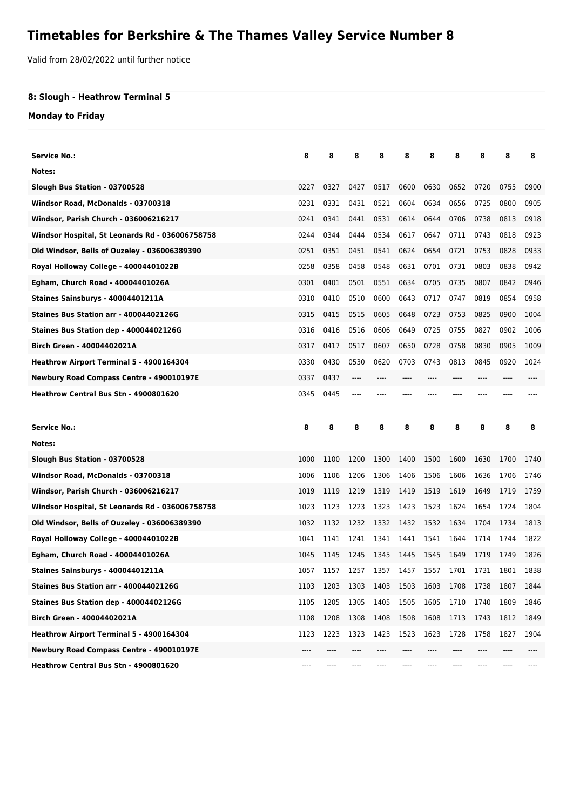# **Timetables for Berkshire & The Thames Valley Service Number 8**

Valid from 28/02/2022 until further notice

## **8: Slough - Heathrow Terminal 5**

#### **Monday to Friday**

| Service No.:                                    | 8    | 8    | 8    | 8    | 8    | 8    | 8     | 8    | 8    | 8    |
|-------------------------------------------------|------|------|------|------|------|------|-------|------|------|------|
| Notes:                                          |      |      |      |      |      |      |       |      |      |      |
| Slough Bus Station - 03700528                   | 0227 | 0327 | 0427 | 0517 | 0600 | 0630 | 0652  | 0720 | 0755 | 0900 |
| Windsor Road, McDonalds - 03700318              | 0231 | 0331 | 0431 | 0521 | 0604 | 0634 | 0656  | 0725 | 0800 | 0905 |
| Windsor, Parish Church - 036006216217           | 0241 | 0341 | 0441 | 0531 | 0614 | 0644 | 0706  | 0738 | 0813 | 0918 |
| Windsor Hospital, St Leonards Rd - 036006758758 | 0244 | 0344 | 0444 | 0534 | 0617 | 0647 | 0711  | 0743 | 0818 | 0923 |
| Old Windsor, Bells of Ouzeley - 036006389390    | 0251 | 0351 | 0451 | 0541 | 0624 | 0654 | 0721  | 0753 | 0828 | 0933 |
| Royal Holloway College - 40004401022B           | 0258 | 0358 | 0458 | 0548 | 0631 | 0701 | 0731  | 0803 | 0838 | 0942 |
| Egham, Church Road - 40004401026A               | 0301 | 0401 | 0501 | 0551 | 0634 | 0705 | 0735  | 0807 | 0842 | 0946 |
| Staines Sainsburys - 40004401211A               | 0310 | 0410 | 0510 | 0600 | 0643 | 0717 | 0747  | 0819 | 0854 | 0958 |
| Staines Bus Station arr - 40004402126G          | 0315 | 0415 | 0515 | 0605 | 0648 | 0723 | 0753  | 0825 | 0900 | 1004 |
| Staines Bus Station dep - 40004402126G          | 0316 | 0416 | 0516 | 0606 | 0649 | 0725 | 0755  | 0827 | 0902 | 1006 |
| Birch Green - 40004402021A                      | 0317 | 0417 | 0517 | 0607 | 0650 | 0728 | 0758  | 0830 | 0905 | 1009 |
| Heathrow Airport Terminal 5 - 4900164304        | 0330 | 0430 | 0530 | 0620 | 0703 | 0743 | 0813  | 0845 | 0920 | 1024 |
| Newbury Road Compass Centre - 490010197E        | 0337 | 0437 | ---- |      |      |      |       |      |      |      |
| Heathrow Central Bus Stn - 4900801620           | 0345 | 0445 |      |      |      |      |       |      |      |      |
|                                                 |      |      |      |      |      |      |       |      |      |      |
|                                                 |      |      |      |      |      |      |       |      |      |      |
| <b>Service No.:</b>                             | 8    | 8    | 8    | 8    | 8    | 8    | 8     | 8    | 8    | 8    |
| Notes:                                          |      |      |      |      |      |      |       |      |      |      |
| Slough Bus Station - 03700528                   | 1000 | 1100 | 1200 | 1300 | 1400 | 1500 | 1600  | 1630 | 1700 | 1740 |
| Windsor Road, McDonalds - 03700318              | 1006 | 1106 | 1206 | 1306 | 1406 | 1506 | 1606  | 1636 | 1706 | 1746 |
| Windsor, Parish Church - 036006216217           | 1019 | 1119 | 1219 | 1319 | 1419 | 1519 | 1619  | 1649 | 1719 | 1759 |
| Windsor Hospital, St Leonards Rd - 036006758758 | 1023 | 1123 | 1223 | 1323 | 1423 | 1523 | 1624  | 1654 | 1724 | 1804 |
| Old Windsor, Bells of Ouzeley - 036006389390    | 1032 | 1132 | 1232 | 1332 | 1432 | 1532 | 1634  | 1704 | 1734 | 1813 |
| Royal Holloway College - 40004401022B           | 1041 | 1141 | 1241 | 1341 | 1441 | 1541 | 1644  | 1714 | 1744 | 1822 |
| Egham, Church Road - 40004401026A               | 1045 | 1145 | 1245 | 1345 | 1445 | 1545 | 1649  | 1719 | 1749 | 1826 |
| Staines Sainsburys - 40004401211A               | 1057 | 1157 | 1257 | 1357 | 1457 | 1557 | 1701  | 1731 | 1801 | 1838 |
| Staines Bus Station arr - 40004402126G          | 1103 | 1203 | 1303 | 1403 | 1503 | 1603 | 1708  | 1738 | 1807 | 1844 |
| Staines Bus Station dep - 40004402126G          | 1105 | 1205 | 1305 | 1405 | 1505 | 1605 | 1710  | 1740 | 1809 | 1846 |
| Birch Green - 40004402021A                      | 1108 | 1208 | 1308 | 1408 | 1508 | 1608 | 1713  | 1743 | 1812 | 1849 |
| <b>Heathrow Airport Terminal 5 - 4900164304</b> | 1123 | 1223 | 1323 | 1423 | 1523 | 1623 | 1728  | 1758 | 1827 | 1904 |
| Newbury Road Compass Centre - 490010197E        | ---- | ---- |      |      |      |      | $---$ | ---- |      |      |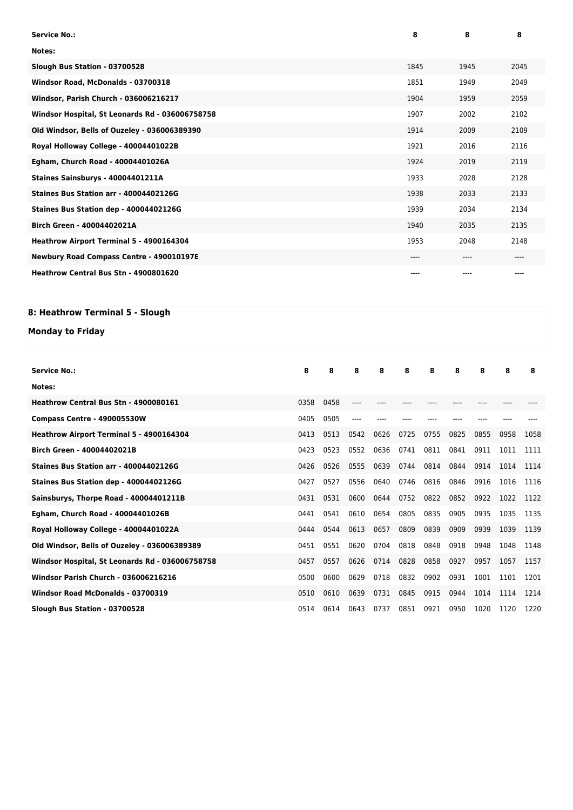| <b>Service No.:</b>                             | 8    | 8    | 8    |
|-------------------------------------------------|------|------|------|
| Notes:                                          |      |      |      |
| Slough Bus Station - 03700528                   | 1845 | 1945 | 2045 |
| Windsor Road, McDonalds - 03700318              | 1851 | 1949 | 2049 |
| Windsor, Parish Church - 036006216217           | 1904 | 1959 | 2059 |
| Windsor Hospital, St Leonards Rd - 036006758758 | 1907 | 2002 | 2102 |
| Old Windsor, Bells of Ouzeley - 036006389390    | 1914 | 2009 | 2109 |
| Royal Holloway College - 40004401022B           | 1921 | 2016 | 2116 |
| Egham, Church Road - 40004401026A               | 1924 | 2019 | 2119 |
| Staines Sainsburys - 40004401211A               | 1933 | 2028 | 2128 |
| Staines Bus Station arr - 40004402126G          | 1938 | 2033 | 2133 |
| Staines Bus Station dep - 40004402126G          | 1939 | 2034 | 2134 |
| <b>Birch Green - 40004402021A</b>               | 1940 | 2035 | 2135 |
| Heathrow Airport Terminal 5 - 4900164304        | 1953 | 2048 | 2148 |
| <b>Newbury Road Compass Centre - 490010197E</b> | ---- | ---- | ---- |
| Heathrow Central Bus Stn - 4900801620           | ---- | ---- |      |

## **8: Heathrow Terminal 5 - Slough**

### **Monday to Friday**

| Service No.:                                    | 8    | 8    | 8    | 8    | 8    | 8    | 8    | 8    | 8    | 8    |
|-------------------------------------------------|------|------|------|------|------|------|------|------|------|------|
| Notes:                                          |      |      |      |      |      |      |      |      |      |      |
| Heathrow Central Bus Stn - 4900080161           | 0358 | 0458 | ---- |      |      |      |      |      |      |      |
| <b>Compass Centre - 490005530W</b>              | 0405 | 0505 |      |      |      |      |      |      |      |      |
| Heathrow Airport Terminal 5 - 4900164304        | 0413 | 0513 | 0542 | 0626 | 0725 | 0755 | 0825 | 0855 | 0958 | 1058 |
| <b>Birch Green - 40004402021B</b>               | 0423 | 0523 | 0552 | 0636 | 0741 | 0811 | 0841 | 0911 | 1011 | 1111 |
| Staines Bus Station arr - 40004402126G          | 0426 | 0526 | 0555 | 0639 | 0744 | 0814 | 0844 | 0914 | 1014 | 1114 |
| Staines Bus Station dep - 40004402126G          | 0427 | 0527 | 0556 | 0640 | 0746 | 0816 | 0846 | 0916 | 1016 | 1116 |
| Sainsburys, Thorpe Road - 40004401211B          | 0431 | 0531 | 0600 | 0644 | 0752 | 0822 | 0852 | 0922 | 1022 | 1122 |
| Egham, Church Road - 40004401026B               | 0441 | 0541 | 0610 | 0654 | 0805 | 0835 | 0905 | 0935 | 1035 | 1135 |
| Royal Holloway College - 40004401022A           | 0444 | 0544 | 0613 | 0657 | 0809 | 0839 | 0909 | 0939 | 1039 | 1139 |
| Old Windsor, Bells of Ouzeley - 036006389389    | 0451 | 0551 | 0620 | 0704 | 0818 | 0848 | 0918 | 0948 | 1048 | 1148 |
| Windsor Hospital, St Leonards Rd - 036006758758 | 0457 | 0557 | 0626 | 0714 | 0828 | 0858 | 0927 | 0957 | 1057 | 1157 |
| <b>Windsor Parish Church - 036006216216</b>     | 0500 | 0600 | 0629 | 0718 | 0832 | 0902 | 0931 | 1001 | 1101 | 1201 |
| Windsor Road McDonalds - 03700319               | 0510 | 0610 | 0639 | 0731 | 0845 | 0915 | 0944 | 1014 | 1114 | 1214 |
| Slough Bus Station - 03700528                   | 0514 | 0614 | 0643 | 0737 | 0851 | 0921 | 0950 | 1020 | 1120 | 1220 |